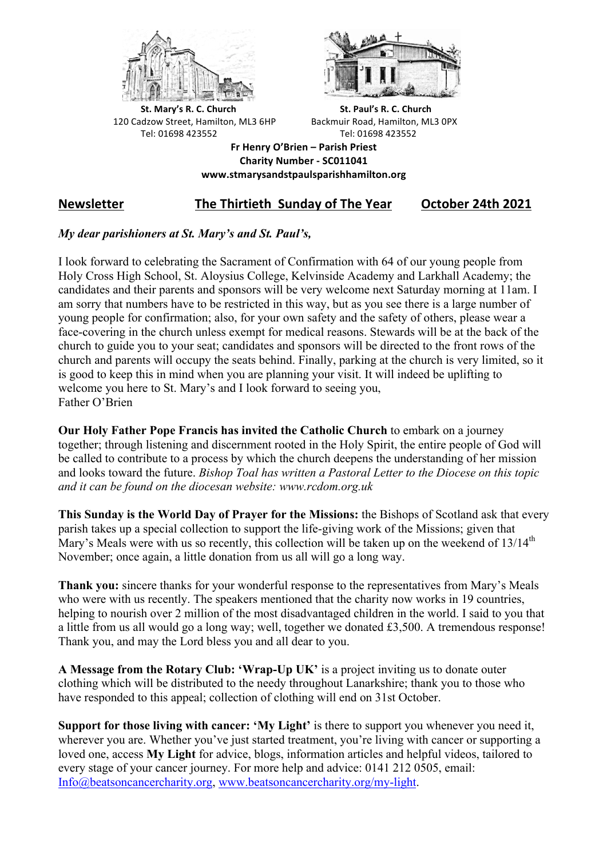



**St.** Mary's R. C. Church St. Paul's R. C. Church 120 Cadzow Street, Hamilton, ML3 6HP Backmuir Road, Hamilton, ML3 0PX Tel: 01698 423552 Tel: 01698 423552

**Fr Henry O'Brien – Parish Priest Charity Number - SC011041 www.stmarysandstpaulsparishhamilton.org**

# **Newsletter** The Thirtieth Sunday of The Year October 24th 2021

# *My dear parishioners at St. Mary's and St. Paul's,*

I look forward to celebrating the Sacrament of Confirmation with 64 of our young people from Holy Cross High School, St. Aloysius College, Kelvinside Academy and Larkhall Academy; the candidates and their parents and sponsors will be very welcome next Saturday morning at 11am. I am sorry that numbers have to be restricted in this way, but as you see there is a large number of young people for confirmation; also, for your own safety and the safety of others, please wear a face-covering in the church unless exempt for medical reasons. Stewards will be at the back of the church to guide you to your seat; candidates and sponsors will be directed to the front rows of the church and parents will occupy the seats behind. Finally, parking at the church is very limited, so it is good to keep this in mind when you are planning your visit. It will indeed be uplifting to welcome you here to St. Mary's and I look forward to seeing you, Father O'Brien

**Our Holy Father Pope Francis has invited the Catholic Church** to embark on a journey together; through listening and discernment rooted in the Holy Spirit, the entire people of God will be called to contribute to a process by which the church deepens the understanding of her mission and looks toward the future. *Bishop Toal has written a Pastoral Letter to the Diocese on this topic and it can be found on the diocesan website: www.rcdom.org.uk*

**This Sunday is the World Day of Prayer for the Missions:** the Bishops of Scotland ask that every parish takes up a special collection to support the life-giving work of the Missions; given that Mary's Meals were with us so recently, this collection will be taken up on the weekend of 13/14<sup>th</sup> November; once again, a little donation from us all will go a long way.

**Thank you:** sincere thanks for your wonderful response to the representatives from Mary's Meals who were with us recently. The speakers mentioned that the charity now works in 19 countries, helping to nourish over 2 million of the most disadvantaged children in the world. I said to you that a little from us all would go a long way; well, together we donated £3,500. A tremendous response! Thank you, and may the Lord bless you and all dear to you.

**A Message from the Rotary Club: 'Wrap-Up UK'** is a project inviting us to donate outer clothing which will be distributed to the needy throughout Lanarkshire; thank you to those who have responded to this appeal; collection of clothing will end on 31st October.

**Support for those living with cancer: 'My Light'** is there to support you whenever you need it, wherever you are. Whether you've just started treatment, you're living with cancer or supporting a loved one, access **My Light** for advice, blogs, information articles and helpful videos, tailored to every stage of your cancer journey. For more help and advice: 0141 212 0505, email: Info@beatsoncancercharity.org, www.beatsoncancercharity.org/my-light.